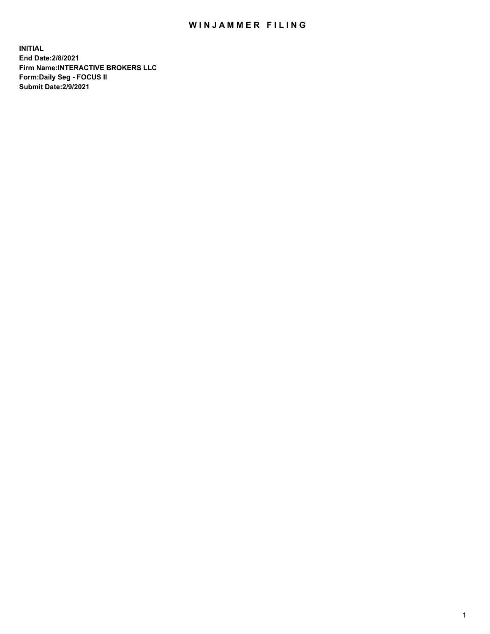## WIN JAMMER FILING

**INITIAL End Date:2/8/2021 Firm Name:INTERACTIVE BROKERS LLC Form:Daily Seg - FOCUS II Submit Date:2/9/2021**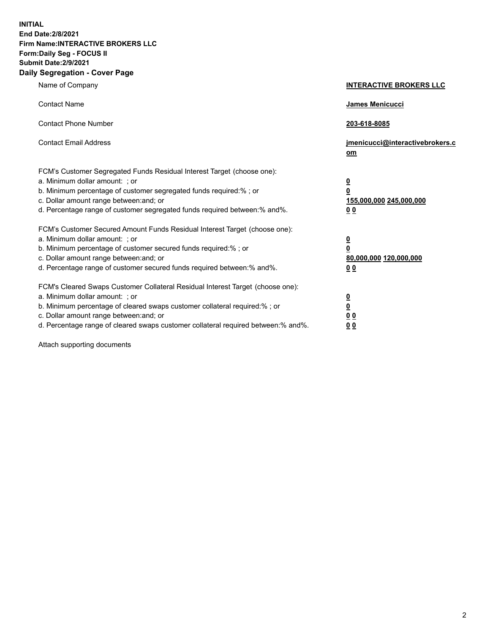**INITIAL End Date:2/8/2021 Firm Name:INTERACTIVE BROKERS LLC Form:Daily Seg - FOCUS II Submit Date:2/9/2021 Daily Segregation - Cover Page**

| Name of Company                                                                                                                                                                                                                                                                                                                | <b>INTERACTIVE BROKERS LLC</b>                                                                  |  |
|--------------------------------------------------------------------------------------------------------------------------------------------------------------------------------------------------------------------------------------------------------------------------------------------------------------------------------|-------------------------------------------------------------------------------------------------|--|
| <b>Contact Name</b>                                                                                                                                                                                                                                                                                                            | <b>James Menicucci</b>                                                                          |  |
| <b>Contact Phone Number</b>                                                                                                                                                                                                                                                                                                    | 203-618-8085                                                                                    |  |
| <b>Contact Email Address</b>                                                                                                                                                                                                                                                                                                   | jmenicucci@interactivebrokers.c<br>om                                                           |  |
| FCM's Customer Segregated Funds Residual Interest Target (choose one):<br>a. Minimum dollar amount: ; or<br>b. Minimum percentage of customer segregated funds required:%; or<br>c. Dollar amount range between: and; or<br>d. Percentage range of customer segregated funds required between:% and%.                          | $\overline{\mathbf{0}}$<br>$\overline{\mathbf{0}}$<br>155,000,000 245,000,000<br>0 <sub>0</sub> |  |
| FCM's Customer Secured Amount Funds Residual Interest Target (choose one):<br>a. Minimum dollar amount: ; or<br>b. Minimum percentage of customer secured funds required:%; or<br>c. Dollar amount range between: and; or<br>d. Percentage range of customer secured funds required between:% and%.                            | $\overline{\mathbf{0}}$<br>$\overline{\mathbf{0}}$<br>80,000,000 120,000,000<br>0 <sub>0</sub>  |  |
| FCM's Cleared Swaps Customer Collateral Residual Interest Target (choose one):<br>a. Minimum dollar amount: ; or<br>b. Minimum percentage of cleared swaps customer collateral required:% ; or<br>c. Dollar amount range between: and; or<br>d. Percentage range of cleared swaps customer collateral required between:% and%. | $\overline{\mathbf{0}}$<br>$\overline{\mathbf{0}}$<br>0 <sub>0</sub><br>0 <sub>0</sub>          |  |

Attach supporting documents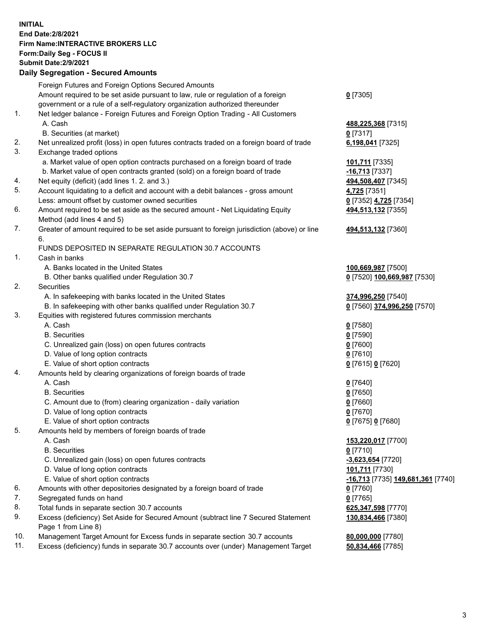## **INITIAL End Date:2/8/2021 Firm Name:INTERACTIVE BROKERS LLC Form:Daily Seg - FOCUS II Submit Date:2/9/2021 Daily Segregation - Secured Amounts**

| $0$ [7305]<br>488,225,368 [7315]<br>$0$ [7317]<br>6,198,041 [7325]<br>101,711 [7335]<br>$-16,713$ [7337]<br>494,508,407 [7345]<br>4,725 [7351]<br>0 [7352] 4,725 [7354]<br>494,513,132 [7355]<br>494,513,132 [7360] |
|---------------------------------------------------------------------------------------------------------------------------------------------------------------------------------------------------------------------|
|                                                                                                                                                                                                                     |
|                                                                                                                                                                                                                     |
|                                                                                                                                                                                                                     |
|                                                                                                                                                                                                                     |
|                                                                                                                                                                                                                     |
|                                                                                                                                                                                                                     |
|                                                                                                                                                                                                                     |
|                                                                                                                                                                                                                     |
|                                                                                                                                                                                                                     |
|                                                                                                                                                                                                                     |
|                                                                                                                                                                                                                     |
|                                                                                                                                                                                                                     |
|                                                                                                                                                                                                                     |
|                                                                                                                                                                                                                     |
|                                                                                                                                                                                                                     |
|                                                                                                                                                                                                                     |
|                                                                                                                                                                                                                     |
|                                                                                                                                                                                                                     |
|                                                                                                                                                                                                                     |
| 100,669,987 [7500]                                                                                                                                                                                                  |
| 0 [7520] 100,669,987 [7530]                                                                                                                                                                                         |
|                                                                                                                                                                                                                     |
| 374,996,250 [7540]                                                                                                                                                                                                  |
| 0 [7560] 374,996,250 [7570]                                                                                                                                                                                         |
|                                                                                                                                                                                                                     |
| $0$ [7580]                                                                                                                                                                                                          |
| $0$ [7590]                                                                                                                                                                                                          |
| $0$ [7600]                                                                                                                                                                                                          |
| $0$ [7610]                                                                                                                                                                                                          |
| 0 [7615] 0 [7620]                                                                                                                                                                                                   |
|                                                                                                                                                                                                                     |
| $0$ [7640]                                                                                                                                                                                                          |
| $0$ [7650]                                                                                                                                                                                                          |
| $0$ [7660]                                                                                                                                                                                                          |
| $0$ [7670]                                                                                                                                                                                                          |
| 0 [7675] 0 [7680]                                                                                                                                                                                                   |
|                                                                                                                                                                                                                     |
| 153,220,017 [7700]                                                                                                                                                                                                  |
| $0$ [7710]                                                                                                                                                                                                          |
| -3,623,654 [7720]                                                                                                                                                                                                   |
| 101,711 [7730]                                                                                                                                                                                                      |
| <mark>-16,713</mark> [7735] 149,681,361 [7740]                                                                                                                                                                      |
| $0$ [7760]                                                                                                                                                                                                          |
| $0$ [7765]                                                                                                                                                                                                          |
| 625,347,598 [7770]                                                                                                                                                                                                  |
| 130,834,466 [7380]                                                                                                                                                                                                  |
|                                                                                                                                                                                                                     |
| 80,000,000 [7780]                                                                                                                                                                                                   |
| 50,834,466 [7785]                                                                                                                                                                                                   |
|                                                                                                                                                                                                                     |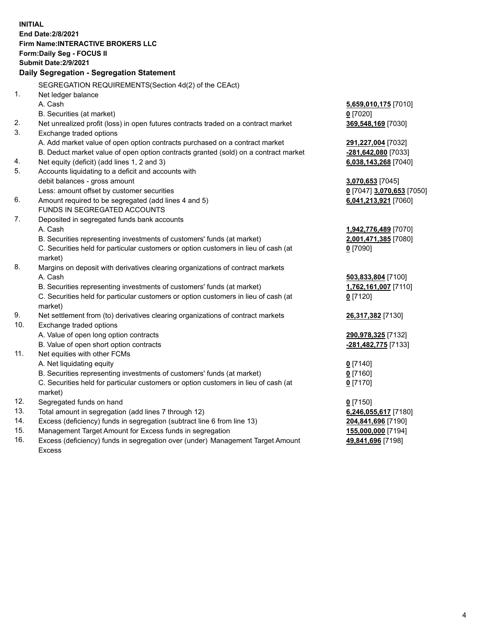**INITIAL End Date:2/8/2021 Firm Name:INTERACTIVE BROKERS LLC Form:Daily Seg - FOCUS II Submit Date:2/9/2021 Daily Segregation - Segregation Statement** SEGREGATION REQUIREMENTS(Section 4d(2) of the CEAct) 1. Net ledger balance A. Cash **5,659,010,175** [7010] B. Securities (at market) **0** [7020] 2. Net unrealized profit (loss) in open futures contracts traded on a contract market **369,548,169** [7030] 3. Exchange traded options A. Add market value of open option contracts purchased on a contract market **291,227,004** [7032] B. Deduct market value of open option contracts granted (sold) on a contract market **-281,642,080** [7033] 4. Net equity (deficit) (add lines 1, 2 and 3) **6,038,143,268** [7040] 5. Accounts liquidating to a deficit and accounts with debit balances - gross amount **3,070,653** [7045] Less: amount offset by customer securities **0** [7047] **3,070,653** [7050] 6. Amount required to be segregated (add lines 4 and 5) **6,041,213,921** [7060] FUNDS IN SEGREGATED ACCOUNTS 7. Deposited in segregated funds bank accounts A. Cash **1,942,776,489** [7070] B. Securities representing investments of customers' funds (at market) **2,001,471,385** [7080] C. Securities held for particular customers or option customers in lieu of cash (at market) **0** [7090] 8. Margins on deposit with derivatives clearing organizations of contract markets A. Cash **503,833,804** [7100] B. Securities representing investments of customers' funds (at market) **1,762,161,007** [7110] C. Securities held for particular customers or option customers in lieu of cash (at market) **0** [7120] 9. Net settlement from (to) derivatives clearing organizations of contract markets **26,317,382** [7130] 10. Exchange traded options A. Value of open long option contracts **290,978,325** [7132] B. Value of open short option contracts **-281,482,775** [7133] 11. Net equities with other FCMs A. Net liquidating equity **0** [7140] B. Securities representing investments of customers' funds (at market) **0** [7160] C. Securities held for particular customers or option customers in lieu of cash (at market) **0** [7170] 12. Segregated funds on hand **0** [7150] 13. Total amount in segregation (add lines 7 through 12) **6,246,055,617** [7180] 14. Excess (deficiency) funds in segregation (subtract line 6 from line 13) **204,841,696** [7190] 15. Management Target Amount for Excess funds in segregation **155,000,000** [7194] 16. Excess (deficiency) funds in segregation over (under) Management Target Amount **49,841,696** [7198]

Excess